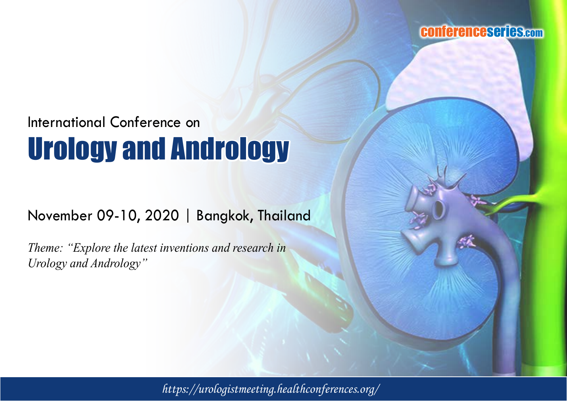

# Urology and Andrology International Conference on

## November 09-10, 2020 | Bangkok, Thailand

*Theme: "Explore the latest inventions and research in Urology and Andrology"*

*https://urologistmeeting.healthconferences.org/*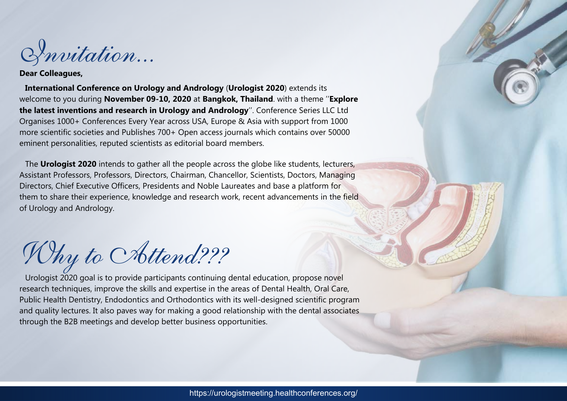Invitation...

#### **Dear Colleagues,**

**International Conference on Urology and Andrology** (**Urologist 2020**) extends its welcome to you during **November 09-10, 2020** at **Bangkok, Thailand**. with a theme ''**Explore the latest inventions and research in Urology and Andrology**''. Conference Series LLC Ltd Organises 1000+ Conferences Every Year across USA, Europe & Asia with support from 1000 more scientific societies and Publishes 700+ Open access journals which contains over 50000 eminent personalities, reputed scientists as editorial board members.

The **Urologist 2020** intends to gather all the people across the globe like students, lecturers, Assistant Professors, Professors, Directors, Chairman, Chancellor, Scientists, Doctors, Managing Directors, Chief Executive Officers, Presidents and Noble Laureates and base a platform for them to share their experience, knowledge and research work, recent advancements in the field of Urology and Andrology.

Hy to Attend???

Urologist 2020 goal is to provide participants continuing dental education, propose novel research techniques, improve the skills and expertise in the areas of Dental Health, Oral Care, Public Health Dentistry, Endodontics and Orthodontics with its well-designed scientific program and quality lectures. It also paves way for making a good relationship with the dental associates through the B2B meetings and develop better business opportunities.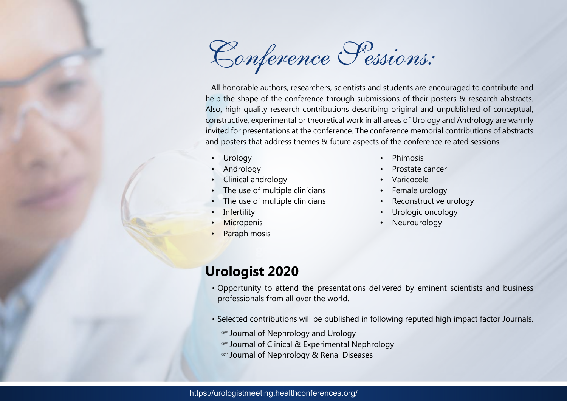Conference Pessions:

All honorable authors, researchers, scientists and students are encouraged to contribute and help the shape of the conference through submissions of their posters & research abstracts. Also, high quality research contributions describing original and unpublished of conceptual, constructive, experimental or theoretical work in all areas of Urology and Andrology are warmly invited for presentations at the conference. The conference memorial contributions of abstracts and posters that address themes & future aspects of the conference related sessions.

- **Urology**
- **Andrology**
- Clinical andrology
- The use of multiple clinicians
- The use of multiple clinicians
- **Infertility**
- **Micropenis**
- **Paraphimosis**
- Phimosis
- Prostate cancer
- Varicocele
- Female urology
- Reconstructive urology
- Urologic oncology
- **Neurourology**

### **Urologist 2020**

- Opportunity to attend the presentations delivered by eminent scientists and business professionals from all over the world.
- Selected contributions will be published in following reputed high impact factor Journals.
	- ) Journal of Nephrology and Urology
	- ) Journal of Clinical & Experimental Nephrology
	- ) Journal of Nephrology & Renal Diseases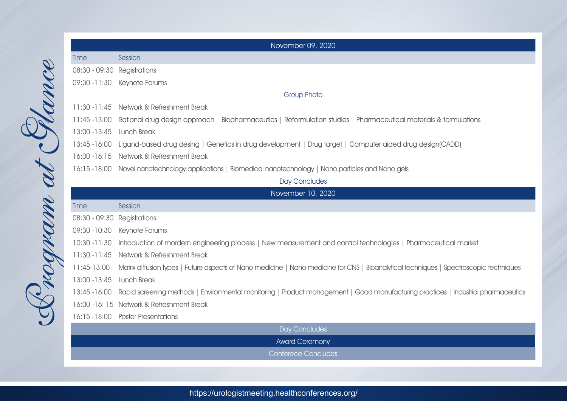|                             | November 09, 2020                                                                                                                              |
|-----------------------------|------------------------------------------------------------------------------------------------------------------------------------------------|
| <b>Time</b>                 | Session                                                                                                                                        |
| 08:30 - 09:30 Registrations |                                                                                                                                                |
|                             | 09:30 -11:30 Keynote Forums                                                                                                                    |
|                             | <b>Group Photo</b>                                                                                                                             |
|                             | 11:30 - 11:45 Network & Refreshment Break                                                                                                      |
|                             | 11:45 -13:00 Rational drug design approach   Biopharmaceutics   Reformulation studies   Pharmaceutical materials & formulations                |
| 13:00 - 13:45 Lunch Break   |                                                                                                                                                |
|                             | 13:45 -16:00 Ligand-based drug desing   Genetics in drug development   Drug target   Computer aided drug design(CADD)                          |
|                             | 16:00 - 16:15 Network & Refreshment Break                                                                                                      |
|                             | 16:15 -18:00 Novel nanotechnology applications   Biomedical nanotechnology   Nano particles and Nano gels                                      |
|                             | <b>Day Concludes</b>                                                                                                                           |
|                             | November 10, 2020                                                                                                                              |
| Time                        | Session                                                                                                                                        |
| 08:30 - 09:30 Registrations |                                                                                                                                                |
|                             | 09:30 -10:30 Keynote Forums                                                                                                                    |
|                             | 10:30 -11:30 Introduction of mordern engineering process   New measurement and control technologies   Pharmaceutical market                    |
|                             | 11:30 -11:45 Network & Refreshment Break                                                                                                       |
| 11:45-13:00                 | Matrix diffusion types   Future aspects of Nano medicine   Nano medicine for CNS   Bioanalytical techniques   Spectroscopic techniques         |
| 13:00 - 13:45 Lunch Break   |                                                                                                                                                |
|                             | 13:45 -16:00 Rapid screening methods   Environmental monitoring   Product management   Good manufacturing practices   Industrial pharmaceutics |
|                             | 16:00 - 16: 15 Network & Refreshment Break                                                                                                     |
|                             | 16:15 -18:00 Poster Presentations                                                                                                              |
|                             | Day Concludes                                                                                                                                  |
|                             |                                                                                                                                                |
|                             | <b>Award Ceremony</b><br><b>Conferece Concludes</b>                                                                                            |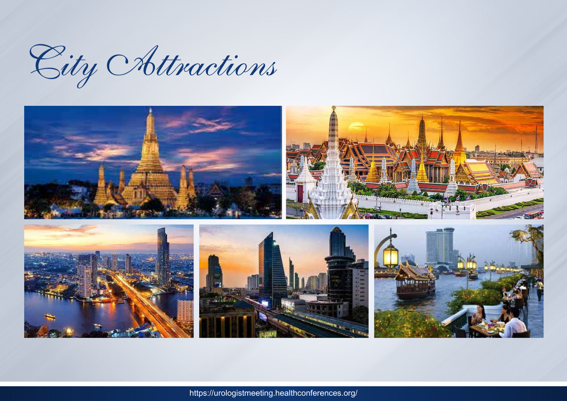City Attractions



https://urologistmeeting.healthconferences.org/